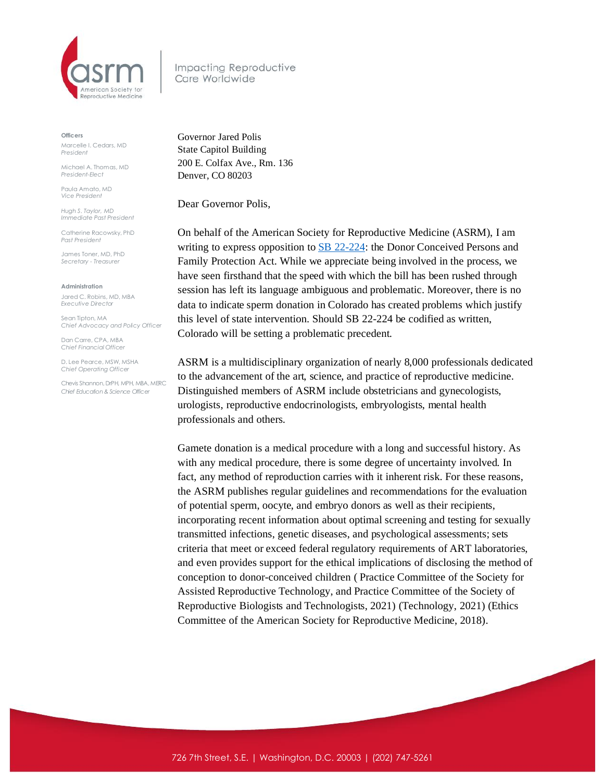

Impacting Reproductive Care Worldwide

**Officers**

Marcelle I. Cedars, MD *President*

Michael A. Thomas, MD *President-Elect*

Paula Amato, MD *Vice President*

*Hugh S. Taylor, MD Immediate Past President*

Catherine Racowsky, PhD *Past President*

James Toner, MD, PhD *Secretary - Treasurer* 

**Administration**

Jared C. Robins, MD, MBA *Executive Director*

Sean Tipton, MA *Chief Advocacy and Policy Officer*

Dan Carre, CPA, MBA *Chief Financial Officer*

D. Lee Pearce, MSW, MSHA *Chief Operating Officer* 

Chevis Shannon, DrPH, MPH, MBA, MERC *Chief Education & Science Officer*

Governor Jared Polis State Capitol Building 200 E. Colfax Ave., Rm. 136 Denver, CO 80203

Dear Governor Polis,

On behalf of the American Society for Reproductive Medicine (ASRM), I am writing to express opposition to SB [22-224:](https://leg.colorado.gov/bills/sb22-224?msclkid=3b3ffc3bd14611ec8c9eec1ec1bb1003) the Donor Conceived Persons and Family Protection Act. While we appreciate being involved in the process, we have seen firsthand that the speed with which the bill has been rushed through session has left its language ambiguous and problematic. Moreover, there is no data to indicate sperm donation in Colorado has created problems which justify this level of state intervention. Should SB 22-224 be codified as written, Colorado will be setting a problematic precedent.

ASRM is a multidisciplinary organization of nearly 8,000 professionals dedicated to the advancement of the art, science, and practice of reproductive medicine. Distinguished members of ASRM include obstetricians and gynecologists, urologists, reproductive endocrinologists, embryologists, mental health professionals and others.

Gamete donation is a medical procedure with a long and successful history. As with any medical procedure, there is some degree of uncertainty involved. In fact, any method of reproduction carries with it inherent risk. For these reasons, the ASRM publishes regular guidelines and recommendations for the evaluation of potential sperm, oocyte, and embryo donors as well as their recipients, incorporating recent information about optimal screening and testing for sexually transmitted infections, genetic diseases, and psychological assessments; sets criteria that meet or exceed federal regulatory requirements of ART laboratories, and even provides support for the ethical implications of disclosing the method of conception to donor-conceived children ( Practice Committee of the Society for Assisted Reproductive Technology, and Practice Committee of the Society of Reproductive Biologists and Technologists, 2021) (Technology, 2021) (Ethics Committee of the American Society for Reproductive Medicine, 2018).